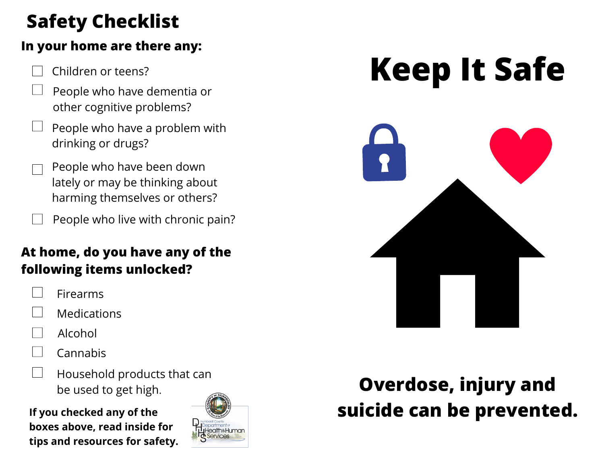# **Safety Checklist**

#### **In your home are there any:**

- □ Children or teens?
- □ People who have dementia or other cognitive problems?
- $\Box$  . People who have a problem with drinking or drugs?
- □ People who have been down lately or may be thinking about harming themselves or others?
- □ People who live with chronic pain?

## **At home, do you have any of the following items unlocked?**

- □ Firearms
- □ Medications
- □ Alcohol
- □ Cannabis
- □ Household products that can be used to get high.

**If you checked any of the boxes above, read inside for tips and resources for safety.**



# **Keep It Safe**



# **Overdose, injury and suicide can be prevented.**